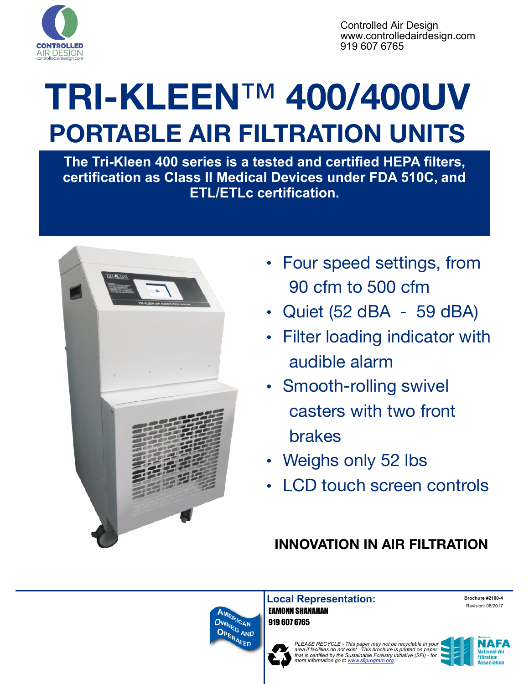

Controlled Air Design www.controlledairdesign.com 919 607 6765

## **TRI-KLEEN**™ **400/400UV PORTABLE AIR FILTRATION UNITS**

**The Tri-Kleen 400 series is a tested and certified HEPA filters, certification as Class II Medical Devices under FDA 510C, and ETL/ETLc certification.**



- Four speed settings, from 90 cfm to 500 cfm
- Quiet (52 dBA 59 dBA)
- Filter loading indicator with audible alarm
- Smooth-rolling swivel casters with two front brakes
- Weighs only 52 lbs
- LCD touch screen controls

## **INNOVATION IN AIR FILTRATION**



**Local Representation:** EAMONN SHANAHAN 919 607 6765

**Brochure #2100-4**  Revision: 08/2017